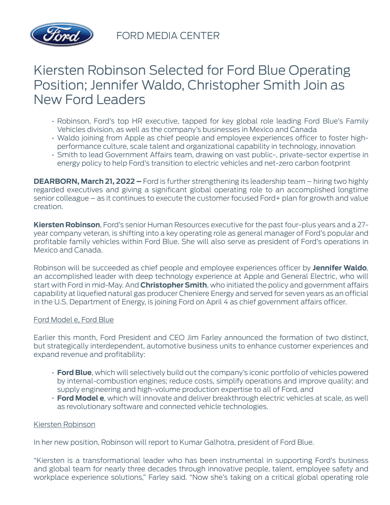

FORD MEDIA CENTER

# Kiersten Robinson Selected for Ford Blue Operating Position; Jennifer Waldo, Christopher Smith Join as New Ford Leaders

- Robinson, Ford's top HR executive, tapped for key global role leading Ford Blue's Family Vehicles division, as well as the company's businesses in Mexico and Canada
- Waldo joining from Apple as chief people and employee experiences officer to foster highperformance culture, scale talent and organizational capability in technology, innovation
- Smith to lead Government Affairs team, drawing on vast public-, private-sector expertise in energy policy to help Ford's transition to electric vehicles and net-zero carbon footprint

**DEARBORN, March 21, 2022 –** Ford is further strengthening its leadership team – hiring two highly regarded executives and giving a significant global operating role to an accomplished longtime senior colleague – as it continues to execute the customer focused Ford+ plan for growth and value creation.

**Kiersten Robinson**, Ford's senior Human Resources executive for the past four-plus years and a 27 year company veteran, is shifting into a key operating role as general manager of Ford's popular and profitable family vehicles within Ford Blue. She will also serve as president of Ford's operations in Mexico and Canada.

Robinson will be succeeded as chief people and employee experiences officer by **Jennifer Waldo**, an accomplished leader with deep technology experience at Apple and General Electric, who will start with Ford in mid-May. And **Christopher Smith**, who initiated the policy and government affairs capability at liquefied natural gas producer Cheniere Energy and served for seven years as an official in the U.S. Department of Energy, is joining Ford on April 4 as chief government affairs officer.

# Ford Model e, Ford Blue

Earlier this month, Ford President and CEO Jim Farley announced the formation of two distinct, but strategically interdependent, automotive business units to enhance customer experiences and expand revenue and profitability:

- **Ford Blue**, which will selectively build out the company's iconic portfolio of vehicles powered by internal-combustion engines; reduce costs, simplify operations and improve quality; and supply engineering and high-volume production expertise to all of Ford, and
- **Ford Model e**, which will innovate and deliver breakthrough electric vehicles at scale, as well as revolutionary software and connected vehicle technologies.

# Kiersten Robinson

In her new position, Robinson will report to Kumar Galhotra, president of Ford Blue.

"Kiersten is a transformational leader who has been instrumental in supporting Ford's business and global team for nearly three decades through innovative people, talent, employee safety and workplace experience solutions," Farley said. "Now she's taking on a critical global operating role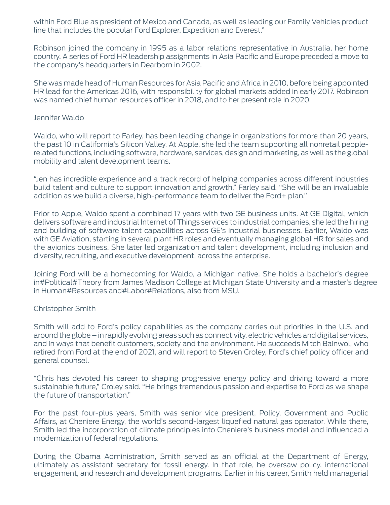within Ford Blue as president of Mexico and Canada, as well as leading our Family Vehicles product line that includes the popular Ford Explorer, Expedition and Everest."

Robinson joined the company in 1995 as a labor relations representative in Australia, her home country. A series of Ford HR leadership assignments in Asia Pacific and Europe preceded a move to the company's headquarters in Dearborn in 2002.

She was made head of Human Resources for Asia Pacific and Africa in 2010, before being appointed HR lead for the Americas 2016, with responsibility for global markets added in early 2017. Robinson was named chief human resources officer in 2018, and to her present role in 2020.

#### Jennifer Waldo

Waldo, who will report to Farley, has been leading change in organizations for more than 20 years, the past 10 in California's Silicon Valley. At Apple, she led the team supporting all nonretail peoplerelated functions, including software, hardware, services, design and marketing, as well as the global mobility and talent development teams.

"Jen has incredible experience and a track record of helping companies across different industries build talent and culture to support innovation and growth," Farley said. "She will be an invaluable addition as we build a diverse, high-performance team to deliver the Ford+ plan."

Prior to Apple, Waldo spent a combined 17 years with two GE business units. At GE Digital, which delivers software and industrial Internet of Things services to industrial companies, she led the hiring and building of software talent capabilities across GE's industrial businesses. Earlier, Waldo was with GE Aviation, starting in several plant HR roles and eventually managing global HR for sales and the avionics business. She later led organization and talent development, including inclusion and diversity, recruiting, and executive development, across the enterprise.

Joining Ford will be a homecoming for Waldo, a Michigan native. She holds a bachelor's degree in Political Theory from James Madison College at Michigan State University and a master's degree in Human Resources and Labor Relations, also from MSU.

# Christopher Smith

Smith will add to Ford's policy capabilities as the company carries out priorities in the U.S. and around the globe – in rapidly evolving areas such as connectivity, electric vehicles and digital services, and in ways that benefit customers, society and the environment. He succeeds Mitch Bainwol, who retired from Ford at the end of 2021, and will report to Steven Croley, Ford's chief policy officer and general counsel.

"Chris has devoted his career to shaping progressive energy policy and driving toward a more sustainable future," Croley said. "He brings tremendous passion and expertise to Ford as we shape the future of transportation."

For the past four-plus years, Smith was senior vice president, Policy, Government and Public Affairs, at Cheniere Energy, the world's second-largest liquefied natural gas operator. While there, Smith led the incorporation of climate principles into Cheniere's business model and influenced a modernization of federal regulations.

During the Obama Administration, Smith served as an official at the Department of Energy, ultimately as assistant secretary for fossil energy. In that role, he oversaw policy, international engagement, and research and development programs. Earlier in his career, Smith held managerial